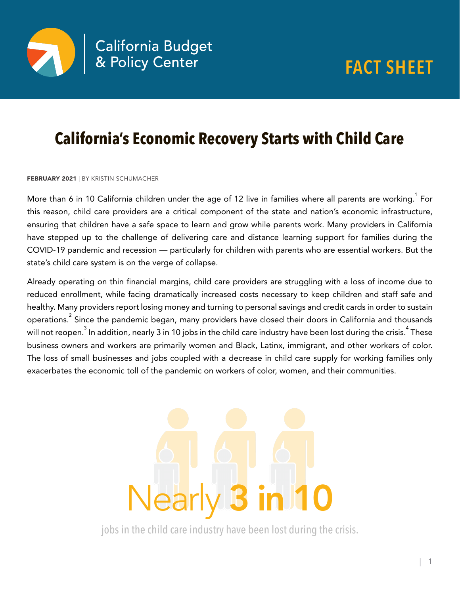



## **California's Economic Recovery Starts with Child Care**

FEBRUARY 2021 | BY KRISTIN SCHUMACHER

More than 6 in 10 California children under the age of 12 live in families where all parents are working.  $^{\text{!}}$  For this reason, child care providers are a critical component of the state and nation's economic infrastructure, ensuring that children have a safe space to learn and grow while parents work. Many providers in California have stepped up to the challenge of delivering care and distance learning support for families during the COVID-19 pandemic and recession — particularly for children with parents who are essential workers. But the state's child care system is on the verge of collapse.

Already operating on thin financial margins, child care providers are struggling with a loss of income due to reduced enrollment, while facing dramatically increased costs necessary to keep children and staff safe and healthy. Many providers report losing money and turning to personal savings and credit cards in order to sustain operations. $^{\text{2}}$  Since the pandemic began, many providers have closed their doors in California and thousands will not reopen. $^3$  In addition, nearly 3 in 10 jobs in the child care industry have been lost during the crisis. $^4$  These business owners and workers are primarily women and Black, Latinx, immigrant, and other workers of color. The loss of small businesses and jobs coupled with a decrease in child care supply for working families only exacerbates the economic toll of the pandemic on workers of color, women, and their communities.



jobs in the child care industry have been lost during the crisis.